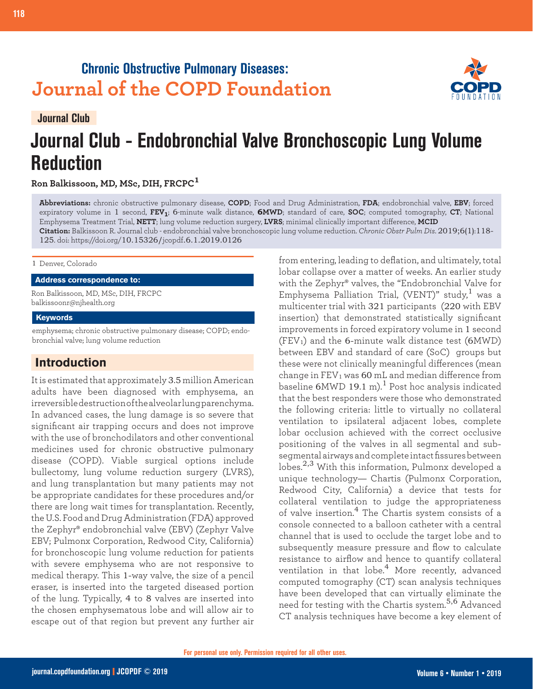## **Chronic Obstructive Pulmonary Diseases: Journal of the COPD Foundation**



**Journal Club**

# **Journal Club - Endobronchial Valve Bronchoscopic Lung Volume Reduction**

**Ron Balkissoon, MD, MSc, DIH, FRCPC<sup>1</sup>**

**Abbreviations:** chronic obstructive pulmonary disease, **COPD**; Food and Drug Administration, **FDA**; endobronchial valve, **EBV**; forced expiratory volume in 1 second, **FEV1**; 6-minute walk distance, **6MWD**; standard of care, **SOC**; computed tomography, **CT**; National Emphysema Treatment Trial, **NETT**; lung volume reduction surgery, **LVRS**; minimal clinically important difference, **MCID Citation:** Balkissoon R. Journal club - endobronchial valve bronchoscopic lung volume reduction. *Chronic Obstr Pulm Dis*. 2019;6(1):118- 125. doi: https://doi.org/10.15326/jcopdf.6.1.2019.0126

#### 1 Denver, Colorado

**Address correspondence to:**

Ron Balkissoon, MD, MSc, DIH, FRCPC balkissoonr@njhealth.org

#### **Keywords**

emphysema; chronic obstructive pulmonary disease; COPD; endobronchial valve; lung volume reduction

## **Introduction**

It is estimated that approximately 3.5 million American adults have been diagnosed with emphysema, an irreversible destruction of the alveolar lung parenchyma. In advanced cases, the lung damage is so severe that significant air trapping occurs and does not improve with the use of bronchodilators and other conventional medicines used for chronic obstructive pulmonary disease (COPD). Viable surgical options include bullectomy, lung volume reduction surgery (LVRS), and lung transplantation but many patients may not be appropriate candidates for these procedures and/or there are long wait times for transplantation. Recently, the U.S. Food and Drug Administration (FDA) approved the Zephyr® endobronchial valve (EBV) (Zephyr Valve EBV; Pulmonx Corporation, Redwood City, California) for bronchoscopic lung volume reduction for patients with severe emphysema who are not responsive to medical therapy. This 1-way valve, the size of a pencil eraser, is inserted into the targeted diseased portion of the lung. Typically, 4 to 8 valves are inserted into the chosen emphysematous lobe and will allow air to escape out of that region but prevent any further air

from entering, leading to deflation, and ultimately, total lobar collapse over a matter of weeks. An earlier study with the Zephyr® valves, the "Endobronchial Valve for Emphysema Palliation Trial, (VENT)" study,<sup>1</sup> was a multicenter trial with 321 participants (220 with EBV insertion) that demonstrated statistically significant improvements in forced expiratory volume in 1 second  $(FEV<sub>1</sub>)$  and the 6-minute walk distance test (6MWD) between EBV and standard of care (SoC) groups but these were not clinically meaningful differences (mean change in  $FEV<sub>1</sub>$  was 60 mL and median difference from baseline  $6MWD 19.1 m$ .<sup>1</sup> Post hoc analysis indicated that the best responders were those who demonstrated the following criteria: little to virtually no collateral ventilation to ipsilateral adjacent lobes, complete lobar occlusion achieved with the correct occlusive positioning of the valves in all segmental and subsegmental airways and complete intact fissures between lobes.2,3 With this information, Pulmonx developed a unique technology— Chartis (Pulmonx Corporation, Redwood City, California) a device that tests for collateral ventilation to judge the appropriateness of valve insertion.4 The Chartis system consists of a console connected to a balloon catheter with a central channel that is used to occlude the target lobe and to subsequently measure pressure and flow to calculate resistance to airflow and hence to quantify collateral ventilation in that lobe.<sup>4</sup> More recently, advanced computed tomography (CT) scan analysis techniques have been developed that can virtually eliminate the need for testing with the Chartis system.5,6 Advanced CT analysis techniques have become a key element of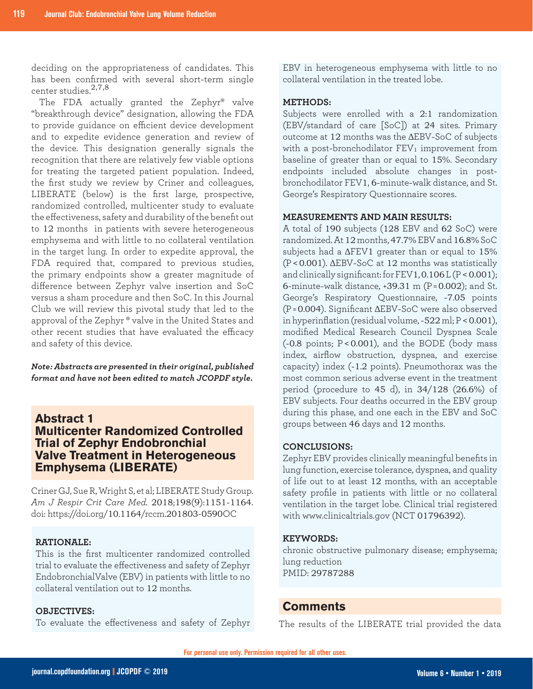deciding on the appropriateness of candidates. This has been confirmed with several short-term single center studies.2,7,8

The FDA actually granted the Zephyr® valve "breakthrough device" designation, allowing the FDA to provide guidance on efficient device development and to expedite evidence generation and review of the device. This designation generally signals the recognition that there are relatively few viable options for treating the targeted patient population. Indeed, the first study we review by Criner and colleagues, LIBERATE (below) is the first large, prospective, randomized controlled, multicenter study to evaluate the effectiveness, safety and durability of the benefit out to 12 months in patients with severe heterogeneous emphysema and with little to no collateral ventilation in the target lung. In order to expedite approval, the FDA required that, compared to previous studies, the primary endpoints show a greater magnitude of difference between Zephyr valve insertion and SoC versus a sham procedure and then SoC. In this Journal Club we will review this pivotal study that led to the approval of the Zephyr ® valve in the United States and other recent studies that have evaluated the efficacy and safety of this device.

*Note: Abstracts are presented in their original, published format and have not been edited to match JCOPDF style.*

## **Abstract 1 Multicenter Randomized Controlled Trial of Zephyr Endobronchial Valve Treatment in Heterogeneous Emphysema (LIBERATE)**

Criner GJ, Sue R, Wright S, et al; LIBERATE Study Group. *Am J Respir Crit Care Med.* 2018;198(9):1151-1164. doi: https://doi.org/10.1164/rccm.201803-0590OC

#### **RATIONALE:**

This is the first multicenter randomized controlled trial to evaluate the effectiveness and safety of Zephyr EndobronchialValve (EBV) in patients with little to no collateral ventilation out to 12 months.

## **OBJECTIVES:**

To evaluate the effectiveness and safety of Zephyr

EBV in heterogeneous emphysema with little to no collateral ventilation in the treated lobe.

#### **METHODS:**

Subjects were enrolled with a 2:1 randomization (EBV/standard of care [SoC]) at 24 sites. Primary outcome at 12 months was the ΔEBV-SoC of subjects with a post-bronchodilator  $FEV<sub>1</sub>$  improvement from baseline of greater than or equal to 15%. Secondary endpoints included absolute changes in postbronchodilator FEV1, 6-minute-walk distance, and St. George's Respiratory Questionnaire scores.

#### **MEASUREMENTS AND MAIN RESULTS:**

A total of 190 subjects (128 EBV and 62 SoC) were randomized. At 12 months, 47.7% EBV and 16.8% SoC subjects had a  $\Delta$ FEV1 greater than or equal to 15% (P <0.001). ΔEBV-SoC at 12 months was statistically and clinically significant: for FEV1, 0.106 L (P < 0.001); 6-minute-walk distance, +39.31 m (P = 0.002); and St. George's Respiratory Questionnaire, -7.05 points (P = 0.004). Significant ΔEBV-SoC were also observed in hyperinflation (residual volume,  $-522$  ml;  $P < 0.001$ ), modified Medical Research Council Dyspnea Scale (-0.8 points; P <0.001), and the BODE (body mass index, airflow obstruction, dyspnea, and exercise capacity) index (-1.2 points). Pneumothorax was the most common serious adverse event in the treatment period (procedure to 45 d), in 34/128 (26.6%) of EBV subjects. Four deaths occurred in the EBV group during this phase, and one each in the EBV and SoC groups between 46 days and 12 months.

## **CONCLUSIONS:**

Zephyr EBV provides clinically meaningful benefits in lung function, exercise tolerance, dyspnea, and quality of life out to at least 12 months, with an acceptable safety profile in patients with little or no collateral ventilation in the target lobe. Clinical trial registered with www.clinicaltrials.gov (NCT 01796392).

#### **KEYWORDS:**

chronic obstructive pulmonary disease; emphysema; lung reduction PMID: 29787288

## **Comments**

The results of the LIBERATE trial provided the data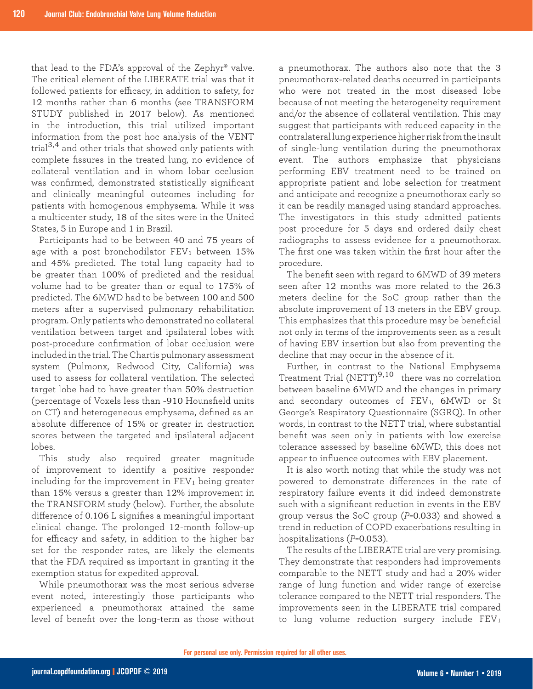that lead to the FDA's approval of the Zephyr® valve. The critical element of the LIBERATE trial was that it followed patients for efficacy, in addition to safety, for 12 months rather than 6 months (see TRANSFORM STUDY published in 2017 below). As mentioned in the introduction, this trial utilized important information from the post hoc analysis of the VENT trial<sup>3,4</sup> and other trials that showed only patients with complete fissures in the treated lung, no evidence of collateral ventilation and in whom lobar occlusion was confirmed, demonstrated statistically significant and clinically meaningful outcomes including for patients with homogenous emphysema. While it was a multicenter study, 18 of the sites were in the United States, 5 in Europe and 1 in Brazil.

Participants had to be between 40 and 75 years of age with a post bronchodilator  $FEV<sub>1</sub>$  between  $15%$ and 45% predicted. The total lung capacity had to be greater than 100% of predicted and the residual volume had to be greater than or equal to 175% of predicted. The 6MWD had to be between 100 and 500 meters after a supervised pulmonary rehabilitation program. Only patients who demonstrated no collateral ventilation between target and ipsilateral lobes with post-procedure confirmation of lobar occlusion were included in the trial. The Chartis pulmonary assessment system (Pulmonx, Redwood City, California) was used to assess for collateral ventilation. The selected target lobe had to have greater than 50% destruction (percentage of Voxels less than -910 Hounsfield units on CT) and heterogeneous emphysema, defined as an absolute difference of 15% or greater in destruction scores between the targeted and ipsilateral adjacent lobes.

This study also required greater magnitude of improvement to identify a positive responder including for the improvement in  $FEV<sub>1</sub>$  being greater than 15% versus a greater than 12% improvement in the TRANSFORM study (below). Further, the absolute difference of 0.106 L signifies a meaningful important clinical change. The prolonged 12-month follow-up for efficacy and safety, in addition to the higher bar set for the responder rates, are likely the elements that the FDA required as important in granting it the exemption status for expedited approval.

While pneumothorax was the most serious adverse event noted, interestingly those participants who experienced a pneumothorax attained the same level of benefit over the long-term as those without a pneumothorax. The authors also note that the 3 pneumothorax-related deaths occurred in participants who were not treated in the most diseased lobe because of not meeting the heterogeneity requirement and/or the absence of collateral ventilation. This may suggest that participants with reduced capacity in the contralateral lung experience higher risk from the insult of single-lung ventilation during the pneumothorax event. The authors emphasize that physicians performing EBV treatment need to be trained on appropriate patient and lobe selection for treatment and anticipate and recognize a pneumothorax early so it can be readily managed using standard approaches. The investigators in this study admitted patients post procedure for 5 days and ordered daily chest radiographs to assess evidence for a pneumothorax. The first one was taken within the first hour after the procedure.

The benefit seen with regard to 6MWD of 39 meters seen after 12 months was more related to the 26.3 meters decline for the SoC group rather than the absolute improvement of 13 meters in the EBV group. This emphasizes that this procedure may be beneficial not only in terms of the improvements seen as a result of having EBV insertion but also from preventing the decline that may occur in the absence of it.

Further, in contrast to the National Emphysema Treatment Trial (NETT)<sup>9,10</sup> there was no correlation between baseline 6MWD and the changes in primary and secondary outcomes of FEV<sub>1</sub>, 6MWD or St George's Respiratory Questionnaire (SGRQ). In other words, in contrast to the NETT trial, where substantial benefit was seen only in patients with low exercise tolerance assessed by baseline 6MWD, this does not appear to influence outcomes with EBV placement.

It is also worth noting that while the study was not powered to demonstrate differences in the rate of respiratory failure events it did indeed demonstrate such with a significant reduction in events in the EBV group versus the SoC group (*P*=0.033) and showed a trend in reduction of COPD exacerbations resulting in hospitalizations (*P*=0.053).

The results of the LIBERATE trial are very promising. They demonstrate that responders had improvements comparable to the NETT study and had a 20% wider range of lung function and wider range of exercise tolerance compared to the NETT trial responders. The improvements seen in the LIBERATE trial compared to lung volume reduction surgery include  $FEV<sub>1</sub>$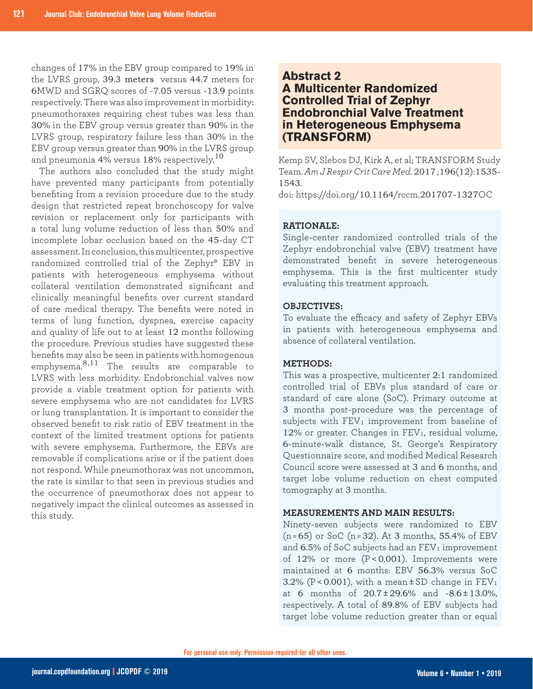changes of 17% in the EBV group compared to 19% in the LVRS group, 39.3 meters versus 44.7 meters for 6MWD and SGRQ scores of -7.05 versus -13.9 points respectively. There was also improvement in morbidity: pneumothoraxes requiring chest tubes was less than 30% in the EBV group versus greater than 90% in the LVRS group, respiratory failure less than 30% in the EBV group versus greater than 90% in the LVRS group and pneumonia 4% versus  $18\%$  respectively.<sup>10</sup>

The authors also concluded that the study might have prevented many participants from potentially benefiting from a revision procedure due to the study design that restricted repeat bronchoscopy for valve revision or replacement only for participants with a total lung volume reduction of less than 50% and incomplete lobar occlusion based on the 45-day CT assessment. In conclusion, this multicenter, prospective randomized controlled trial of the Zephyr® EBV in patients with heterogeneous emphysema without collateral ventilation demonstrated significant and clinically meaningful benefits over current standard of care medical therapy. The benefits were noted in terms of lung function, dyspnea, exercise capacity and quality of life out to at least 12 months following the procedure. Previous studies have suggested these benefits may also be seen in patients with homogenous emphysema.8,11 The results are comparable to LVRS with less morbidity. Endobronchial valves now provide a viable treatment option for patients with severe emphysema who are not candidates for LVRS or lung transplantation. It is important to consider the observed benefit to risk ratio of EBV treatment in the context of the limited treatment options for patients with severe emphysema. Furthermore, the EBVs are removable if complications arise or if the patient does not respond. While pneumothorax was not uncommon, the rate is similar to that seen in previous studies and the occurrence of pneumothorax does not appear to negatively impact the clinical outcomes as assessed in this study.

## **Abstract 2**

## **A Multicenter Randomized Controlled Trial of Zephyr Endobronchial Valve Treatment in Heterogeneous Emphysema (TRANSFORM)**

Kemp SV, Slebos DJ, Kirk A, et al; TRANSFORM Study Team. *Am J Respir Crit Care Med.* 2017 ;196(12):1535- 1543.

doi: https://doi.org/10.1164/rccm.201707-1327OC

## **RATIONALE:**

Single-center randomized controlled trials of the Zephyr endobronchial valve (EBV) treatment have demonstrated benefit in severe heterogeneous emphysema. This is the first multicenter study evaluating this treatment approach.

## **OBJECTIVES:**

To evaluate the efficacy and safety of Zephyr EBVs in patients with heterogeneous emphysema and absence of collateral ventilation.

## **METHODS:**

This was a prospective, multicenter 2:1 randomized controlled trial of EBVs plus standard of care or standard of care alone (SoC). Primary outcome at 3 months post-procedure was the percentage of subjects with  $FEV_1$  improvement from baseline of 12% or greater. Changes in FEV<sub>1</sub>, residual volume, 6-minute-walk distance, St. George's Respiratory Questionnaire score, and modified Medical Research Council score were assessed at 3 and 6 months, and target lobe volume reduction on chest computed tomography at 3 months.

#### **MEASUREMENTS AND MAIN RESULTS:**

Ninety-seven subjects were randomized to EBV (n = 65) or SoC (n = 32). At 3 months, 55.4% of EBV and  $6.5\%$  of SoC subjects had an FEV<sub>1</sub> improvement of 12% or more (P < 0.001). Improvements were maintained at 6 months: EBV 56.3% versus SoC 3.2% ( $P < 0.001$ ), with a mean  $\pm$  SD change in  $FEV<sub>1</sub>$ at 6 months of  $20.7 \pm 29.6$ % and  $-8.6 \pm 13.0$ %, respectively. A total of 89.8% of EBV subjects had target lobe volume reduction greater than or equal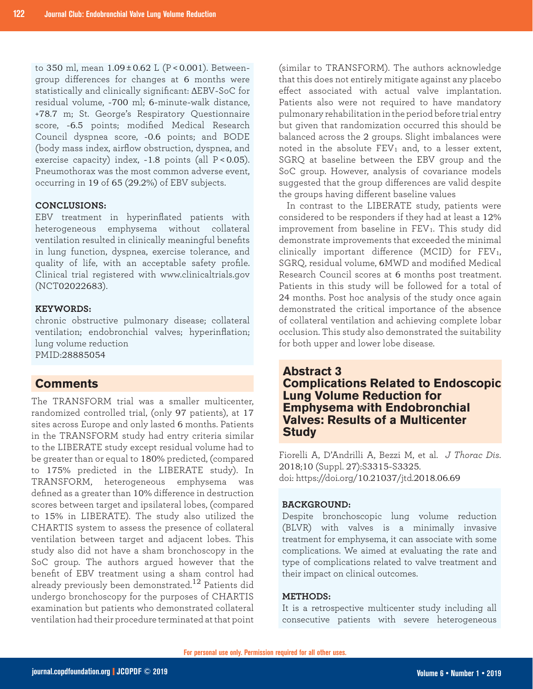to 350 ml, mean 1.09 ± 0.62 L (P < 0.001). Betweengroup differences for changes at 6 months were statistically and clinically significant: ΔEBV-SoC for residual volume, -700 ml; 6-minute-walk distance, +78.7 m; St. George's Respiratory Questionnaire score, -6.5 points; modified Medical Research Council dyspnea score, -0.6 points; and BODE (body mass index, airflow obstruction, dyspnea, and exercise capacity) index, -1.8 points (all P < 0.05). Pneumothorax was the most common adverse event, occurring in 19 of 65 (29.2%) of EBV subjects.

### **CONCLUSIONS:**

EBV treatment in hyperinflated patients with heterogeneous emphysema without collateral ventilation resulted in clinically meaningful benefits in lung function, dyspnea, exercise tolerance, and quality of life, with an acceptable safety profile. Clinical trial registered with www.clinicaltrials.gov (NCT02022683).

## **KEYWORDS:**

chronic obstructive pulmonary disease; collateral ventilation; endobronchial valves; hyperinflation; lung volume reduction PMID:28885054

## **Comments**

The TRANSFORM trial was a smaller multicenter, randomized controlled trial, (only 97 patients), at 17 sites across Europe and only lasted 6 months. Patients in the TRANSFORM study had entry criteria similar to the LIBERATE study except residual volume had to be greater than or equal to 180% predicted, (compared to 175% predicted in the LIBERATE study). In TRANSFORM, heterogeneous emphysema was defined as a greater than 10% difference in destruction scores between target and ipsilateral lobes, (compared to 15% in LIBERATE). The study also utilized the CHARTIS system to assess the presence of collateral ventilation between target and adjacent lobes. This study also did not have a sham bronchoscopy in the SoC group. The authors argued however that the benefit of EBV treatment using a sham control had already previously been demonstrated.<sup>12</sup> Patients did undergo bronchoscopy for the purposes of CHARTIS examination but patients who demonstrated collateral ventilation had their procedure terminated at that point (similar to TRANSFORM). The authors acknowledge that this does not entirely mitigate against any placebo effect associated with actual valve implantation. Patients also were not required to have mandatory pulmonary rehabilitation in the period before trial entry but given that randomization occurred this should be balanced across the 2 groups. Slight imbalances were noted in the absolute  $FEV<sub>1</sub>$  and, to a lesser extent, SGRQ at baseline between the EBV group and the SoC group. However, analysis of covariance models suggested that the group differences are valid despite the groups having different baseline values

In contrast to the LIBERATE study, patients were considered to be responders if they had at least a 12% improvement from baseline in  $FEV<sub>1</sub>$ . This study did demonstrate improvements that exceeded the minimal clinically important difference (MCID) for  $FEV<sub>1</sub>$ , SGRQ, residual volume, 6MWD and modified Medical Research Council scores at 6 months post treatment. Patients in this study will be followed for a total of 24 months. Post hoc analysis of the study once again demonstrated the critical importance of the absence of collateral ventilation and achieving complete lobar occlusion. This study also demonstrated the suitability for both upper and lower lobe disease.

**Abstract 3 Complications Related to Endoscopic Lung Volume Reduction for Emphysema with Endobronchial Valves: Results of a Multicenter Study** 

Fiorelli A, D'Andrilli A, Bezzi M, et al. *J Thorac Dis*. 2018;10 (Suppl. 27):S3315-S3325. doi: https://doi.org/10.21037/jtd.2018.06.69

## **BACKGROUND:**

Despite bronchoscopic lung volume reduction (BLVR) with valves is a minimally invasive treatment for emphysema, it can associate with some complications. We aimed at evaluating the rate and type of complications related to valve treatment and their impact on clinical outcomes.

#### **METHODS:**

It is a retrospective multicenter study including all consecutive patients with severe heterogeneous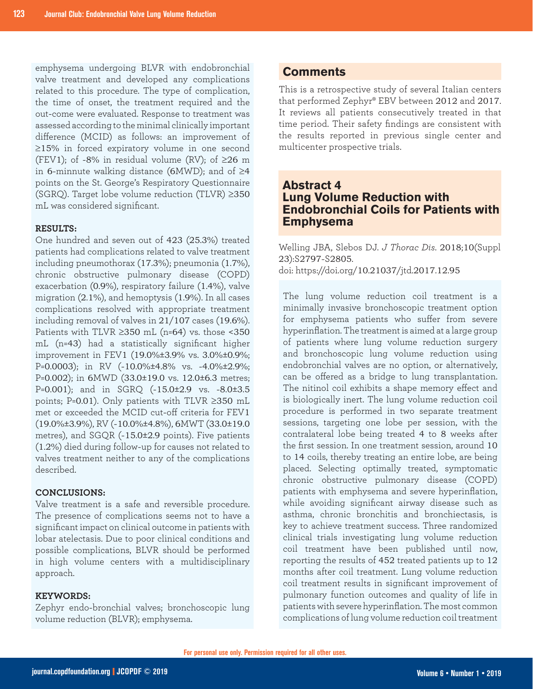emphysema undergoing BLVR with endobronchial valve treatment and developed any complications related to this procedure. The type of complication, the time of onset, the treatment required and the out-come were evaluated. Response to treatment was assessed according to the minimal clinically important difference (MCID) as follows: an improvement of ≥15% in forced expiratory volume in one second (FEV1); of -8% in residual volume (RV); of  $\geq$ 26 m in 6-minnute walking distance (6MWD); and of ≥4 points on the St. George's Respiratory Questionnaire (SGRQ). Target lobe volume reduction (TLVR) ≥350 mL was considered significant.

#### **RESULTS:**

One hundred and seven out of 423 (25.3%) treated patients had complications related to valve treatment including pneumothorax (17.3%); pneumonia (1.7%), chronic obstructive pulmonary disease (COPD) exacerbation (0.9%), respiratory failure (1.4%), valve migration (2.1%), and hemoptysis (1.9%). In all cases complications resolved with appropriate treatment including removal of valves in 21/107 cases (19.6%). Patients with TLVR  $\geq$ 350 mL (n=64) vs. those <350 mL (n=43) had a statistically significant higher improvement in FEV1 (19.0%±3.9% vs. 3.0%±0.9%; P=0.0003); in RV (-10.0%±4.8% vs. -4.0%±2.9%; P=0.002); in 6MWD (33.0±19.0 vs. 12.0±6.3 metres; P=0.001); and in SGRQ (-15.0±2.9 vs. -8.0±3.5 points; P=0.01). Only patients with TLVR ≥350 mL met or exceeded the MCID cut-off criteria for FEV1 (19.0%±3.9%), RV (-10.0%±4.8%), 6MWT (33.0±19.0 metres), and SGQR (-15.0±2.9 points). Five patients (1.2%) died during follow-up for causes not related to valves treatment neither to any of the complications described.

## **CONCLUSIONS:**

Valve treatment is a safe and reversible procedure. The presence of complications seems not to have a significant impact on clinical outcome in patients with lobar atelectasis. Due to poor clinical conditions and possible complications, BLVR should be performed in high volume centers with a multidisciplinary approach.

#### **KEYWORDS:**

Zephyr endo-bronchial valves; bronchoscopic lung volume reduction (BLVR); emphysema.

## **Comments**

This is a retrospective study of several Italian centers that performed Zephyr® EBV between 2012 and 2017. It reviews all patients consecutively treated in that time period. Their safety findings are consistent with the results reported in previous single center and multicenter prospective trials.

## **Abstract 4 Lung Volume Reduction with Endobronchial Coils for Patients with Emphysema**

Welling JBA, Slebos DJ. *J Thorac Dis*. 2018;10(Suppl 23):S2797-S2805. doi: https://doi.org/10.21037/jtd.2017.12.95

The lung volume reduction coil treatment is a minimally invasive bronchoscopic treatment option for emphysema patients who suffer from severe hyperinflation. The treatment is aimed at a large group of patients where lung volume reduction surgery and bronchoscopic lung volume reduction using endobronchial valves are no option, or alternatively, can be offered as a bridge to lung transplantation. The nitinol coil exhibits a shape memory effect and is biologically inert. The lung volume reduction coil procedure is performed in two separate treatment sessions, targeting one lobe per session, with the contralateral lobe being treated 4 to 8 weeks after the first session. In one treatment session, around 10 to 14 coils, thereby treating an entire lobe, are being placed. Selecting optimally treated, symptomatic chronic obstructive pulmonary disease (COPD) patients with emphysema and severe hyperinflation, while avoiding significant airway disease such as asthma, chronic bronchitis and bronchiectasis, is key to achieve treatment success. Three randomized clinical trials investigating lung volume reduction coil treatment have been published until now, reporting the results of 452 treated patients up to 12 months after coil treatment. Lung volume reduction coil treatment results in significant improvement of pulmonary function outcomes and quality of life in patients with severe hyperinflation. The most common complications of lung volume reduction coil treatment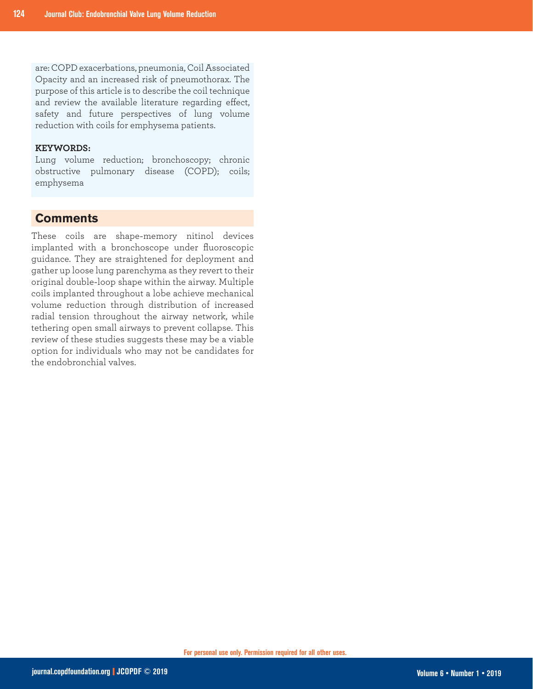are: COPD exacerbations, pneumonia, Coil Associated Opacity and an increased risk of pneumothorax. The purpose of this article is to describe the coil technique and review the available literature regarding effect, safety and future perspectives of lung volume reduction with coils for emphysema patients.

### **KEYWORDS:**

Lung volume reduction; bronchoscopy; chronic obstructive pulmonary disease (COPD); coils; emphysema

## **Comments**

These coils are shape-memory nitinol devices implanted with a bronchoscope under fluoroscopic guidance. They are straightened for deployment and gather up loose lung parenchyma as they revert to their original double-loop shape within the airway. Multiple coils implanted throughout a lobe achieve mechanical volume reduction through distribution of increased radial tension throughout the airway network, while tethering open small airways to prevent collapse. This review of these studies suggests these may be a viable option for individuals who may not be candidates for the endobronchial valves.